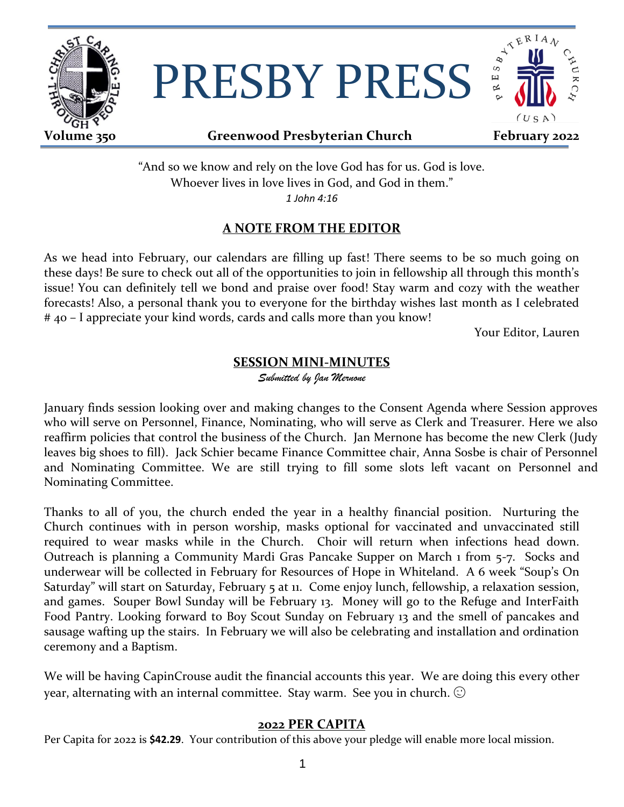

PRESBY PRESS



## **Volume 350 Greenwood Presbyterian Church February 2022**

"And so we know and rely on the love God has for us. God is love. Whoever lives in love lives in God, and God in them." *1 John 4:16*

## **A NOTE FROM THE EDITOR**

As we head into February, our calendars are filling up fast! There seems to be so much going on these days! Be sure to check out all of the opportunities to join in fellowship all through this month's issue! You can definitely tell we bond and praise over food! Stay warm and cozy with the weather forecasts! Also, a personal thank you to everyone for the birthday wishes last month as I celebrated # 40 – I appreciate your kind words, cards and calls more than you know!

Your Editor, Lauren

## **SESSION MINI-MINUTES**

*Submitted by Jan Mernone*

January finds session looking over and making changes to the Consent Agenda where Session approves who will serve on Personnel, Finance, Nominating, who will serve as Clerk and Treasurer. Here we also reaffirm policies that control the business of the Church. Jan Mernone has become the new Clerk (Judy leaves big shoes to fill). Jack Schier became Finance Committee chair, Anna Sosbe is chair of Personnel and Nominating Committee. We are still trying to fill some slots left vacant on Personnel and Nominating Committee.

Thanks to all of you, the church ended the year in a healthy financial position. Nurturing the Church continues with in person worship, masks optional for vaccinated and unvaccinated still required to wear masks while in the Church. Choir will return when infections head down. Outreach is planning a Community Mardi Gras Pancake Supper on March 1 from 5-7. Socks and underwear will be collected in February for Resources of Hope in Whiteland. A 6 week "Soup's On Saturday" will start on Saturday, February 5 at 11. Come enjoy lunch, fellowship, a relaxation session, and games. Souper Bowl Sunday will be February 13. Money will go to the Refuge and InterFaith Food Pantry. Looking forward to Boy Scout Sunday on February 13 and the smell of pancakes and sausage wafting up the stairs. In February we will also be celebrating and installation and ordination ceremony and a Baptism.

We will be having CapinCrouse audit the financial accounts this year. We are doing this every other year, alternating with an internal committee. Stay warm. See you in church.  $\odot$ 

## **2022 PER CAPITA**

Per Capita for 2022 is **\$42.29**. Your contribution of this above your pledge will enable more local mission.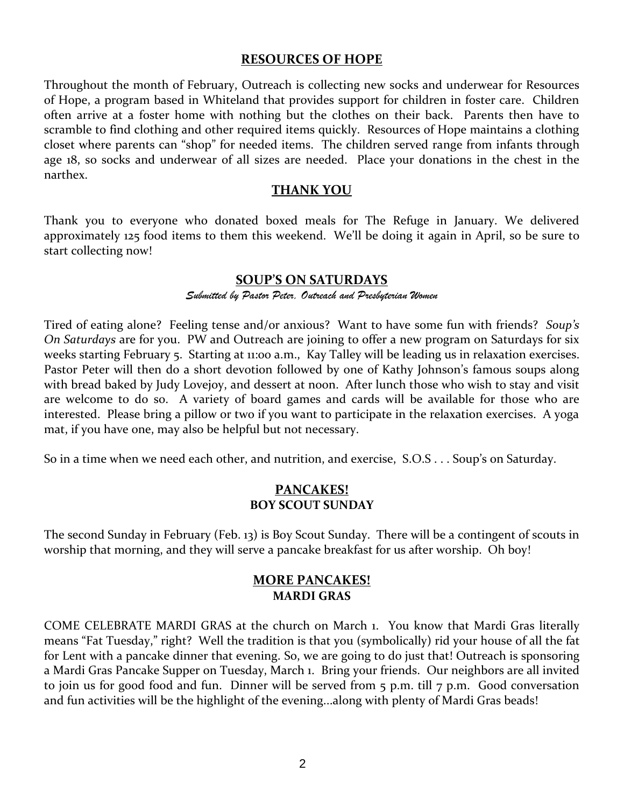#### **RESOURCES OF HOPE**

Throughout the month of February, Outreach is collecting new socks and underwear for Resources of Hope, a program based in Whiteland that provides support for children in foster care. Children often arrive at a foster home with nothing but the clothes on their back. Parents then have to scramble to find clothing and other required items quickly. Resources of Hope maintains a clothing closet where parents can "shop" for needed items. The children served range from infants through age 18, so socks and underwear of all sizes are needed. Place your donations in the chest in the narthex.

#### **THANK YOU**

Thank you to everyone who donated boxed meals for The Refuge in January. We delivered approximately 125 food items to them this weekend. We'll be doing it again in April, so be sure to start collecting now!

### **SOUP'S ON SATURDAYS**

#### *Submitted by Pastor Peter, Outreach and Presbyterian Women*

Tired of eating alone? Feeling tense and/or anxious? Want to have some fun with friends? *Soup's On Saturdays* are for you. PW and Outreach are joining to offer a new program on Saturdays for six weeks starting February 5. Starting at 11:00 a.m., Kay Talley will be leading us in relaxation exercises. Pastor Peter will then do a short devotion followed by one of Kathy Johnson's famous soups along with bread baked by Judy Lovejoy, and dessert at noon. After lunch those who wish to stay and visit are welcome to do so. A variety of board games and cards will be available for those who are interested. Please bring a pillow or two if you want to participate in the relaxation exercises. A yoga mat, if you have one, may also be helpful but not necessary.

So in a time when we need each other, and nutrition, and exercise, S.O.S . . . Soup's on Saturday.

## **PANCAKES! BOY SCOUT SUNDAY**

The second Sunday in February (Feb. 13) is Boy Scout Sunday. There will be a contingent of scouts in worship that morning, and they will serve a pancake breakfast for us after worship. Oh boy!

### **MORE PANCAKES! MARDI GRAS**

COME CELEBRATE MARDI GRAS at the church on March 1. You know that Mardi Gras literally means "Fat Tuesday," right? Well the tradition is that you (symbolically) rid your house of all the fat for Lent with a pancake dinner that evening. So, we are going to do just that! Outreach is sponsoring a Mardi Gras Pancake Supper on Tuesday, March 1. Bring your friends. Our neighbors are all invited to join us for good food and fun. Dinner will be served from 5 p.m. till 7 p.m. Good conversation and fun activities will be the highlight of the evening...along with plenty of Mardi Gras beads!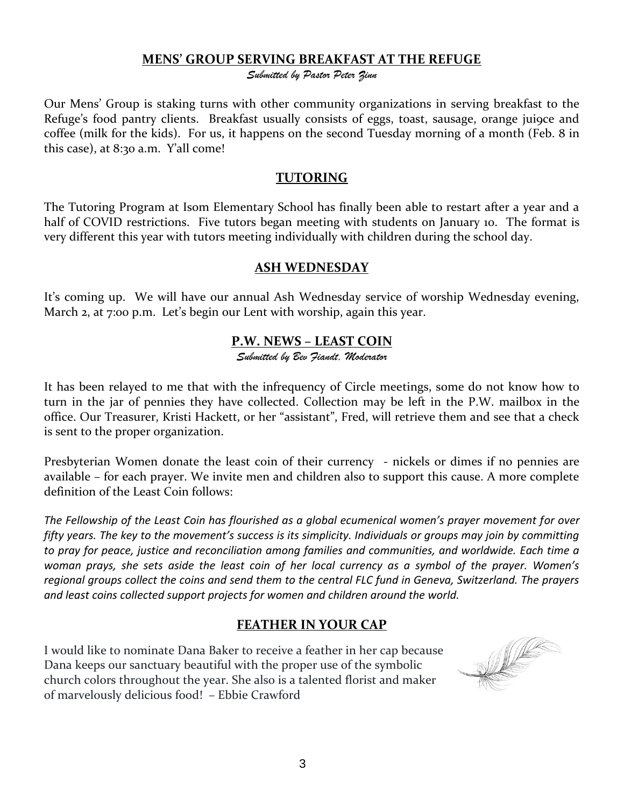## **MENS' GROUP SERVING BREAKFAST AT THE REFUGE**

*Submitted by Pastor Peter Zinn*

Our Mens' Group is staking turns with other community organizations in serving breakfast to the Refuge's food pantry clients. Breakfast usually consists of eggs, toast, sausage, orange jui9ce and coffee (milk for the kids). For us, it happens on the second Tuesday morning of a month (Feb. 8 in this case), at 8:30 a.m. Y'all come!

## **TUTORING**

The Tutoring Program at Isom Elementary School has finally been able to restart after a year and a half of COVID restrictions. Five tutors began meeting with students on January 10. The format is very different this year with tutors meeting individually with children during the school day.

### **ASH WEDNESDAY**

It's coming up. We will have our annual Ash Wednesday service of worship Wednesday evening, March 2, at 7:00 p.m. Let's begin our Lent with worship, again this year.

## **P.W. NEWS – LEAST COIN**

*Submitted by Bev Fiandt, Moderator*

It has been relayed to me that with the infrequency of Circle meetings, some do not know how to turn in the jar of pennies they have collected. Collection may be left in the P.W. mailbox in the office. Our Treasurer, Kristi Hackett, or her "assistant", Fred, will retrieve them and see that a check is sent to the proper organization.

Presbyterian Women donate the least coin of their currency - nickels or dimes if no pennies are available – for each prayer. We invite men and children also to support this cause. A more complete definition of the Least Coin follows:

*The Fellowship of the Least Coin has flourished as a global ecumenical women's prayer movement for over fifty years. The key to the movement's success is its simplicity. Individuals or groups may join by committing to pray for peace, justice and reconciliation among families and communities, and worldwide. Each time a woman prays, she sets aside the least coin of her local currency as a symbol of the prayer. Women's regional groups collect the coins and send them to the central FLC fund in Geneva, Switzerland. The prayers and least coins collected support projects for women and children around the world.* 

## **FEATHER IN YOUR CAP**

I would like to nominate Dana Baker to receive a feather in her cap because Dana keeps our sanctuary beautiful with the proper use of the symbolic church colors throughout the year. She also is a talented florist and maker of marvelously delicious food! – Ebbie Crawford

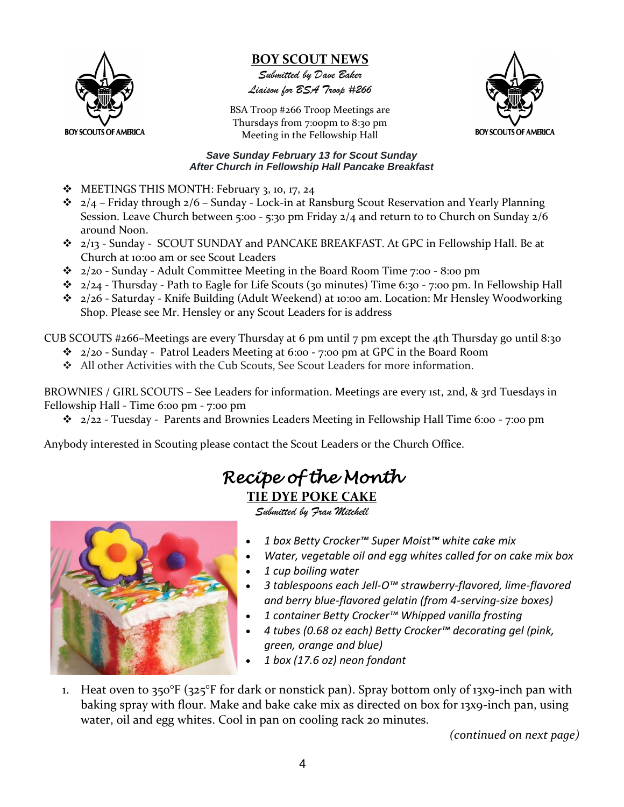

## **BOY SCOUT NEWS**

*Submitted by Dave Baker Liaison for BSA Troop #266*

BSA Troop #266 Troop Meetings are Thursdays from 7:00pm to 8:30 pm Meeting in the Fellowship Hall



#### *Save Sunday February 13 for Scout Sunday After Church in Fellowship Hall Pancake Breakfast*

- ❖ MEETINGS THIS MONTH: February 3, 10, 17, 24
- $\div$  2/4 Friday through 2/6 Sunday Lock-in at Ransburg Scout Reservation and Yearly Planning Session. Leave Church between 5:00 - 5:30 pm Friday 2/4 and return to to Church on Sunday 2/6 around Noon.
- ❖ 2/13 Sunday SCOUT SUNDAY and PANCAKE BREAKFAST. At GPC in Fellowship Hall. Be at Church at 10:00 am or see Scout Leaders
- ❖ 2/20 Sunday Adult Committee Meeting in the Board Room Time 7:00 8:00 pm
- $\cdot \cdot$  2/24 Thursday Path to Eagle for Life Scouts (30 minutes) Time 6:30 7:00 pm. In Fellowship Hall
- ❖ 2/26 Saturday Knife Building (Adult Weekend) at 10:00 am. Location: Mr Hensley Woodworking Shop. Please see Mr. Hensley or any Scout Leaders for is address

CUB SCOUTS #266–Meetings are every Thursday at 6 pm until 7 pm except the 4th Thursday go until 8:30

- $\div$  2/20 Sunday Patrol Leaders Meeting at 6:00 7:00 pm at GPC in the Board Room
- ❖ All other Activities with the Cub Scouts, See Scout Leaders for more information.

BROWNIES / GIRL SCOUTS – See Leaders for information. Meetings are every 1st, 2nd, & 3rd Tuesdays in Fellowship Hall - Time 6:00 pm - 7:00 pm

❖ 2/22 - Tuesday - Parents and Brownies Leaders Meeting in Fellowship Hall Time 6:00 - 7:00 pm

Anybody interested in Scouting please contact the Scout Leaders or the Church Office.

# *Recipe of the Month*  **TIE DYE POKE CAKE**

*Submitted by Fran Mitchell*



- *1 [box Betty Crocker™ Super Moist™ white cake mix](https://www.bettycrocker.com/products/betty-crocker-baking-and-cake-mixes/white)*
- *Water, vegetable oil and egg whites called for on cake mix box*
- *1 cup boiling water*
- *3 tablespoons each Jell-O™ strawberry-flavored, lime-flavored and berry blue-flavored gelatin (from 4-serving-size boxes)*
- *1 [container Betty Crocker™ Whipped vanilla fro](https://www.bettycrocker.com/products/frosting/whippedfluffywhitefrosting)sting*
- *4 [tubes \(0.68 oz each\) Betty Crocker™ decorating gel \(pink,](https://www.bettycrocker.com/products/frosting/richandcreamychocolatefrosting)  [green, orange and blue\)](https://www.bettycrocker.com/products/frosting/richandcreamychocolatefrosting)*
- *1 box (17.6 oz) neon fondant*
- 1. Heat oven to 350°F (325°F for dark or nonstick pan). Spray bottom only of 13x9-inch pan with baking spray with flour. Make and bake cake mix as directed on box for 13x9-inch pan, using water, oil and egg whites. Cool in pan on cooling rack 20 minutes.

*(continued on next page)*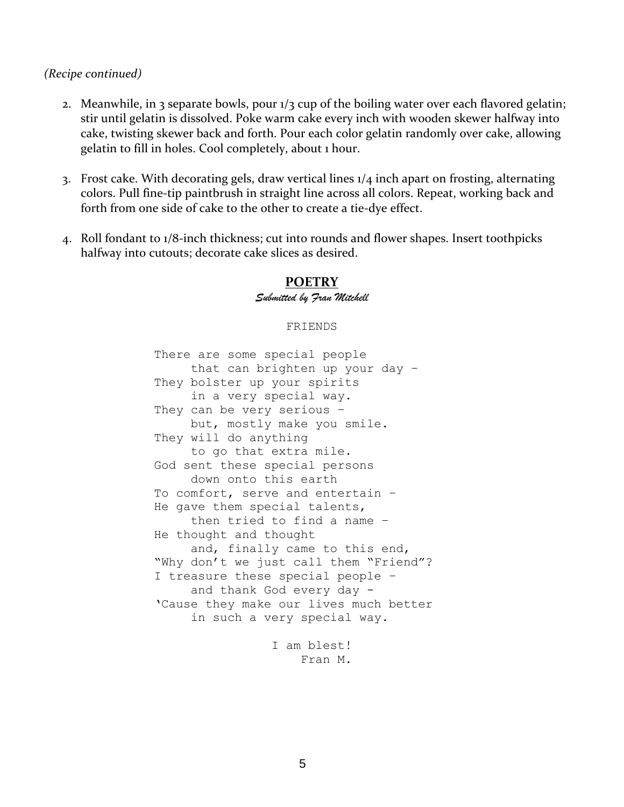#### *(Recipe continued)*

- 2. Meanwhile, in 3 separate bowls, pour  $1/3$  cup of the boiling water over each flavored gelatin; stir until gelatin is dissolved. Poke warm cake every inch with wooden skewer halfway into cake, twisting skewer back and forth. Pour each color gelatin randomly over cake, allowing gelatin to fill in holes. Cool completely, about 1 hour.
- 3. Frost cake. With decorating gels, draw vertical lines 1/4 inch apart on frosting, alternating colors. Pull fine-tip paintbrush in straight line across all colors. Repeat, working back and forth from one side of cake to the other to create a tie-dye effect.
- 4. Roll fondant to 1/8-inch thickness; cut into rounds and flower shapes. Insert toothpicks halfway into cutouts; decorate cake slices as desired.

## **POETRY** *Submitted by Fran Mitchell*

#### FRIENDS

There are some special people that can brighten up your day – They bolster up your spirits in a very special way. They can be very serious – but, mostly make you smile. They will do anything to go that extra mile. God sent these special persons down onto this earth To comfort, serve and entertain – He gave them special talents, then tried to find a name – He thought and thought and, finally came to this end, "Why don't we just call them "Friend"? I treasure these special people – and thank God every day - 'Cause they make our lives much better in such a very special way.

I am blest! Fran M.